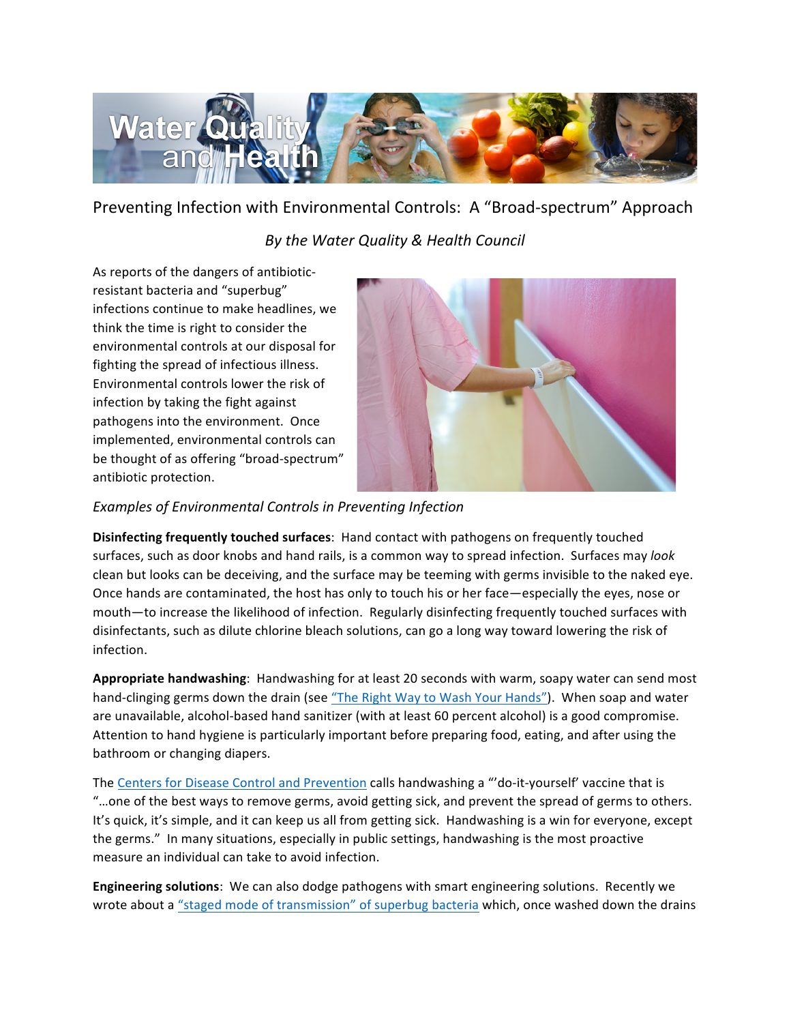

## Preventing Infection with Environmental Controls: A "Broad-spectrum" Approach

## *By the Water Quality & Health Council*

As reports of the dangers of antibioticresistant bacteria and "superbug" infections continue to make headlines, we think the time is right to consider the environmental controls at our disposal for fighting the spread of infectious illness. Environmental controls lower the risk of infection by taking the fight against pathogens into the environment. Once implemented, environmental controls can be thought of as offering "broad-spectrum" antibiotic protection. 



## Examples of Environmental Controls in Preventing Infection

**Disinfecting frequently touched surfaces:** Hand contact with pathogens on frequently touched surfaces, such as door knobs and hand rails, is a common way to spread infection. Surfaces may look clean but looks can be deceiving, and the surface may be teeming with germs invisible to the naked eye. Once hands are contaminated, the host has only to touch his or her face—especially the eyes, nose or mouth-to increase the likelihood of infection. Regularly disinfecting frequently touched surfaces with disinfectants, such as dilute chlorine bleach solutions, can go a long way toward lowering the risk of infection. 

Appropriate handwashing: Handwashing for at least 20 seconds with warm, soapy water can send most hand-clinging germs down the drain (see "The Right Way to Wash Your Hands"). When soap and water are unavailable, alcohol-based hand sanitizer (with at least 60 percent alcohol) is a good compromise. Attention to hand hygiene is particularly important before preparing food, eating, and after using the bathroom or changing diapers.

The Centers for Disease Control and Prevention calls handwashing a "'do-it-yourself' vaccine that is "...one of the best ways to remove germs, avoid getting sick, and prevent the spread of germs to others. It's quick, it's simple, and it can keep us all from getting sick. Handwashing is a win for everyone, except the germs." In many situations, especially in public settings, handwashing is the most proactive measure an individual can take to avoid infection.

**Engineering solutions**: We can also dodge pathogens with smart engineering solutions. Recently we wrote about a "staged mode of transmission" of superbug bacteria which, once washed down the drains